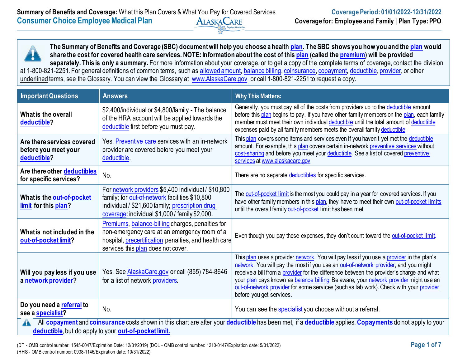**The Summary of Benefits and Coverage (SBC) document will help you choose a health [plan.](https://www.healthcare.gov/sbc-glossary/#plan) The SBC shows you how you and the [plan](https://www.healthcare.gov/sbc-glossary/#plan) would share the cost for covered health care services. NOTE: Information about the cost of this [plan](https://www.healthcare.gov/sbc-glossary/#plan) (called the [premium\)](https://www.healthcare.gov/sbc-glossary/#premium) will be provided**  separately. This is only a summary. For more information about your coverage, or to get a copy of the complete terms of coverage, contact the division at 1-800-821-2251. For general definitions of common terms, such as [allowed amount,](https://www.healthcare.gov/sbc-glossary/#allowed-amount) [balance billing,](https://www.healthcare.gov/sbc-glossary/#balance-billing) [coinsurance,](https://www.healthcare.gov/sbc-glossary/#coinsurance) [copayment,](https://www.healthcare.gov/sbc-glossary/#copayment) [deductible,](https://www.healthcare.gov/sbc-glossary/#deductible) [provider,](https://www.healthcare.gov/sbc-glossary/#provider) or other underlined terms, see the Glossary. You can view the Glossary at [www.AlaskaCare.gov](http://www.alaskacare.gov/) or call 1-800-821-2251 to request a copy.

| <b>Important Questions</b>                                                                                                                                                                                                                         | <b>Answers</b>                                                                                                                                                                                             | <b>Why This Matters:</b>                                                                                                                                                                                                                                                                                                                                                                                                                                                                   |  |
|----------------------------------------------------------------------------------------------------------------------------------------------------------------------------------------------------------------------------------------------------|------------------------------------------------------------------------------------------------------------------------------------------------------------------------------------------------------------|--------------------------------------------------------------------------------------------------------------------------------------------------------------------------------------------------------------------------------------------------------------------------------------------------------------------------------------------------------------------------------------------------------------------------------------------------------------------------------------------|--|
| What is the overall<br>deductible?                                                                                                                                                                                                                 | \$2,400/individual or \$4,800/family - The balance<br>of the HRA account will be applied towards the<br>deductible first before you must pay.                                                              | Generally, you must pay all of the costs from providers up to the deductible amount<br>before this plan begins to pay. If you have other family members on the plan, each family<br>member must meet their own individual deductible until the total amount of deductible<br>expenses paid by all family members meets the overall family deductible.                                                                                                                                      |  |
| Are there services covered<br>before you meet your<br>deductible?                                                                                                                                                                                  | Yes. Preventive care services with an in-network<br>provider are covered before you meet your<br>deductible.                                                                                               | This plan covers some items and services even if you haven't yet met the deductible<br>amount. For example, this plan covers certain in-network preventive services without<br>cost-sharing and before you meet your deductible. See a list of covered preventive<br>services at www.alaskacare.gov                                                                                                                                                                                        |  |
| Are there other deductibles<br>for specific services?                                                                                                                                                                                              | No.                                                                                                                                                                                                        | There are no separate deductibles for specific services.                                                                                                                                                                                                                                                                                                                                                                                                                                   |  |
| What is the out-of-pocket<br>limit for this plan?                                                                                                                                                                                                  | For network providers \$5,400 individual / \$10,800<br>family; for out-of-network facilities \$10,800<br>individual / \$21,600 family; prescription drug<br>coverage: individual \$1,000 / family \$2,000. | The out-of-pocket limit is the most you could pay in a year for covered services. If you<br>have other family members in this plan, they have to meet their own out-of-pocket limits<br>until the overall family out-of-pocket limit has been met.                                                                                                                                                                                                                                         |  |
| What is not included in the<br>out-of-pocket limit?                                                                                                                                                                                                | Premiums, balance-billing charges, penalties for<br>non-emergency care at an emergency room of a<br>hospital, <i>precertification</i> penalties, and health care<br>services this plan does not cover.     | Even though you pay these expenses, they don't count toward the out-of-pocket limit.                                                                                                                                                                                                                                                                                                                                                                                                       |  |
| Will you pay less if you use<br>a network provider?                                                                                                                                                                                                | Yes. See AlaskaCare.gov or call (855) 784-8646<br>for a list of network providers.                                                                                                                         | This plan uses a provider network. You will pay less if you use a provider in the plan's<br>network. You will pay the most if you use an out-of-network provider, and you might<br>receive a bill from a provider for the difference between the provider's charge and what<br>your plan pays known as balance billing. Be aware, your network provider might use an<br>out-of-network provider for some services (such as lab work). Check with your provider<br>before you get services. |  |
| Do you need a referral to<br>see a specialist?                                                                                                                                                                                                     | No.                                                                                                                                                                                                        | You can see the specialist you choose without a referral.                                                                                                                                                                                                                                                                                                                                                                                                                                  |  |
| All <b>copayment</b> and <b>coinsurance</b> costs shown in this chart are after your <b>deductible</b> has been met, if a <b>deductible</b> applies. Copayments do not apply to your<br>A<br>deductible, but do apply to your out-of-pocket limit. |                                                                                                                                                                                                            |                                                                                                                                                                                                                                                                                                                                                                                                                                                                                            |  |

(DT - OMB control number: 1545-0047/Expiration Date: 12/31/2019) (DOL - OMB control number: 1210-0147/Expiration date: 5/31/2022) **Page 1 of 7** (HHS - OMB control number: 0938-1146/Expiration date: 10/31/2022)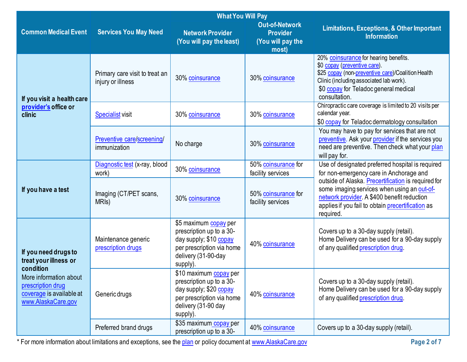|                                                                                               | <b>What You Will Pay</b>                            |                                                                                                                                              |                                                                        |                                                                                                                                                                                                                                 |  |
|-----------------------------------------------------------------------------------------------|-----------------------------------------------------|----------------------------------------------------------------------------------------------------------------------------------------------|------------------------------------------------------------------------|---------------------------------------------------------------------------------------------------------------------------------------------------------------------------------------------------------------------------------|--|
| <b>Common Medical Event</b>                                                                   | <b>Services You May Need</b>                        | <b>Network Provider</b><br>(You will pay the least)                                                                                          | <b>Out-of-Network</b><br><b>Provider</b><br>(You will pay the<br>most) | Limitations, Exceptions, & Other Important<br><b>Information</b>                                                                                                                                                                |  |
| If you visit a health care                                                                    | Primary care visit to treat an<br>injury or illness | 30% coinsurance                                                                                                                              | 30% coinsurance                                                        | 20% coinsurance for hearing benefits.<br>\$0 copay (preventive care).<br>\$25 copay (non-preventive care)/Coalition Health<br>Clinic (including associated lab work).<br>\$0 copay for Teladoc general medical<br>consultation. |  |
| provider's office or<br>clinic                                                                | <b>Specialist visit</b>                             | 30% coinsurance                                                                                                                              | 30% coinsurance                                                        | Chiropractic care coverage is limited to 20 visits per<br>calendar year.<br>\$0 copay for Teladoc dermatology consultation                                                                                                      |  |
|                                                                                               | Preventive care/screening/<br>immunization          | No charge                                                                                                                                    | 30% coinsurance                                                        | You may have to pay for services that are not<br>preventive. Ask your provider if the services you<br>need are preventive. Then check what your plan<br>will pay for.                                                           |  |
|                                                                                               | Diagnostic test (x-ray, blood<br>work)              | 30% coinsurance                                                                                                                              | 50% coinsurance for<br>facility services                               | Use of designated preferred hospital is required<br>for non-emergency care in Anchorage and                                                                                                                                     |  |
| If you have a test                                                                            | Imaging (CT/PET scans,<br>MRI <sub>s</sub> )        | 30% coinsurance                                                                                                                              | 50% coinsurance for<br>facility services                               | outside of Alaska. Precertification is required for<br>some imaging services when using an out-of-<br>network provider. A \$400 benefit reduction<br>applies if you fail to obtain precertification as<br>required.             |  |
| If you need drugs to<br>treat your illness or<br>condition                                    | Maintenance generic<br>prescription drugs           | \$5 maximum copay per<br>prescription up to a 30-<br>day supply; \$10 copay<br>per prescription via home<br>delivery (31-90-day<br>supply).  | 40% coinsurance                                                        | Covers up to a 30-day supply (retail).<br>Home Delivery can be used for a 90-day supply<br>of any qualified prescription drug.                                                                                                  |  |
| More information about<br>prescription drug<br>coverage is available at<br>www.AlaskaCare.gov | Generic drugs                                       | \$10 maximum copay per<br>prescription up to a 30-<br>day supply; \$20 copay<br>per prescription via home<br>delivery (31-90 day<br>supply). | 40% coinsurance                                                        | Covers up to a 30-day supply (retail).<br>Home Delivery can be used for a 90-day supply<br>of any qualified prescription drug.                                                                                                  |  |
|                                                                                               | Preferred brand drugs                               | \$35 maximum copay per<br>prescription up to a 30-                                                                                           | 40% coinsurance                                                        | Covers up to a 30-day supply (retail).                                                                                                                                                                                          |  |

\* For more information about limitations and exceptions, see the [plan](https://www.healthcare.gov/sbc-glossary/#plan) or policy document at [www.AlaskaCare.gov](http://www.alaskacare.gov/) **Page 2 of 7**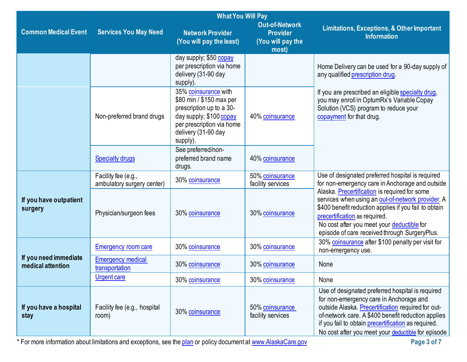|                                            |                                                   | <b>What You Will Pay</b>                                                                                                                                                |                                                                        |                                                                                                                                                                                                                                                                                                                      |
|--------------------------------------------|---------------------------------------------------|-------------------------------------------------------------------------------------------------------------------------------------------------------------------------|------------------------------------------------------------------------|----------------------------------------------------------------------------------------------------------------------------------------------------------------------------------------------------------------------------------------------------------------------------------------------------------------------|
| <b>Common Medical Event</b>                | <b>Services You May Need</b>                      | <b>Network Provider</b><br>(You will pay the least)                                                                                                                     | <b>Out-of-Network</b><br><b>Provider</b><br>(You will pay the<br>most) | Limitations, Exceptions, & Other Important<br><b>Information</b>                                                                                                                                                                                                                                                     |
|                                            |                                                   | day supply; \$50 copay<br>per prescription via home<br>delivery (31-90 day<br>supply).                                                                                  |                                                                        | Home Delivery can be used for a 90-day supply of<br>any qualified prescription drug.                                                                                                                                                                                                                                 |
|                                            | Non-preferred brand drugs                         | 35% coinsurance with<br>\$80 min / \$150 max per<br>prescription up to a 30-<br>day supply; \$100 copay<br>per prescription via home<br>delivery (31-90 day<br>supply). | 40% coinsurance                                                        | If you are prescribed an eligible specialty drug,<br>you may enroll in OptumRx's Variable Copay<br>Solution (VCS) program to reduce your<br>copayment for that drug.                                                                                                                                                 |
|                                            | <b>Specialty drugs</b>                            | See preferred/non-<br>preferred brand name<br>drugs.                                                                                                                    | 40% coinsurance                                                        |                                                                                                                                                                                                                                                                                                                      |
|                                            | Facility fee (e.g.,<br>ambulatory surgery center) | 30% coinsurance                                                                                                                                                         | 50% coinsurance<br>facility services                                   | Use of designated preferred hospital is required<br>for non-emergency care in Anchorage and outside                                                                                                                                                                                                                  |
| If you have outpatient<br>surgery          | Physician/surgeon fees                            | 30% coinsurance                                                                                                                                                         | 30% coinsurance                                                        | Alaska. Precertification is required for some<br>services when using an out-of-network provider. A<br>\$400 benefit reduction applies if you fail to obtain<br>precertification as required.<br>No cost after you meet your deductible for<br>episode of care received through SurgeryPlus.                          |
|                                            | <b>Emergency room care</b>                        | 30% coinsurance                                                                                                                                                         | 30% coinsurance                                                        | 30% coinsurance after \$100 penalty per visit for<br>non-emergency use.                                                                                                                                                                                                                                              |
| If you need immediate<br>medical attention | <b>Emergency medical</b><br>transportation        | 30% coinsurance                                                                                                                                                         | 30% coinsurance                                                        | None                                                                                                                                                                                                                                                                                                                 |
|                                            | <b>Urgent care</b>                                | 30% coinsurance                                                                                                                                                         | 30% coinsurance                                                        | None                                                                                                                                                                                                                                                                                                                 |
| If you have a hospital<br>stay             | Facility fee (e.g., hospital<br>room)             | 30% coinsurance                                                                                                                                                         | 50% coinsurance<br>facility services                                   | Use of designated preferred hospital is required<br>for non-emergency care in Anchorage and<br>outside Alaska. Precertification required for out-<br>of-network care. A \$400 benefit reduction applies<br>if you fail to obtain precertification as required.<br>No cost after you meet your deductible for episode |

\* For more information about limitations and exceptions, see the [plan](https://www.healthcare.gov/sbc-glossary/#plan) or policy document at [www.AlaskaCare.gov](http://www.alaskacare.gov/) **Page 3 of 7**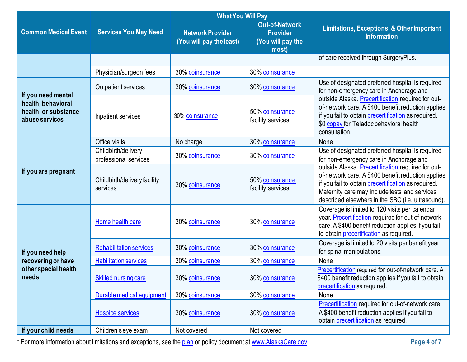|                                                              | <b>What You Will Pay</b>                     |                                                     |                                                                        |                                                                                                                                                                                                                                                                       |  |
|--------------------------------------------------------------|----------------------------------------------|-----------------------------------------------------|------------------------------------------------------------------------|-----------------------------------------------------------------------------------------------------------------------------------------------------------------------------------------------------------------------------------------------------------------------|--|
| <b>Common Medical Event</b>                                  | <b>Services You May Need</b>                 | <b>Network Provider</b><br>(You will pay the least) | <b>Out-of-Network</b><br><b>Provider</b><br>(You will pay the<br>most) | Limitations, Exceptions, & Other Important<br><b>Information</b>                                                                                                                                                                                                      |  |
|                                                              |                                              |                                                     |                                                                        | of care received through SurgeryPlus.                                                                                                                                                                                                                                 |  |
|                                                              | Physician/surgeon fees                       | 30% coinsurance                                     | 30% coinsurance                                                        |                                                                                                                                                                                                                                                                       |  |
| If you need mental                                           | Outpatient services                          | 30% coinsurance                                     | 30% coinsurance                                                        | Use of designated preferred hospital is required<br>for non-emergency care in Anchorage and                                                                                                                                                                           |  |
| health, behavioral<br>health, or substance<br>abuse services | Inpatient services                           | 30% coinsurance                                     | 50% coinsurance<br>facility services                                   | outside Alaska. Precertification required for out-<br>of-network care. A \$400 benefit reduction applies<br>if you fail to obtain precertification as required.<br>\$0 copay for Teladoc behavioral health<br>consultation.                                           |  |
|                                                              | Office visits                                | No charge                                           | 30% coinsurance                                                        | None                                                                                                                                                                                                                                                                  |  |
|                                                              | Childbirth/delivery<br>professional services | 30% coinsurance                                     | 30% coinsurance                                                        | Use of designated preferred hospital is required<br>for non-emergency care in Anchorage and                                                                                                                                                                           |  |
| If you are pregnant                                          | Childbirth/delivery facility<br>services     | 30% coinsurance                                     | 50% coinsurance<br>facility services                                   | outside Alaska. Precertification required for out-<br>of-network care. A \$400 benefit reduction applies<br>if you fail to obtain precertification as required.<br>Maternity care may include tests and services<br>described elsewhere in the SBC (i.e. ultrasound). |  |
|                                                              | Home health care                             | 30% coinsurance                                     | 30% coinsurance                                                        | Coverage is limited to 120 visits per calendar<br>year. Precertification required for out-of-network<br>care. A \$400 benefit reduction applies if you fail<br>to obtain precertification as required.                                                                |  |
| If you need help                                             | <b>Rehabilitation services</b>               | 30% coinsurance                                     | 30% coinsurance                                                        | Coverage is limited to 20 visits per benefit year<br>for spinal manipulations.                                                                                                                                                                                        |  |
| recovering or have                                           | <b>Habilitation services</b>                 | 30% coinsurance                                     | 30% coinsurance                                                        | None                                                                                                                                                                                                                                                                  |  |
| other special health<br>needs                                | <b>Skilled nursing care</b>                  | 30% coinsurance                                     | 30% coinsurance                                                        | Precertification required for out-of-network care. A<br>\$400 benefit reduction applies if you fail to obtain<br>precertification as required.                                                                                                                        |  |
|                                                              | Durable medical equipment                    | 30% coinsurance                                     | 30% coinsurance                                                        | None                                                                                                                                                                                                                                                                  |  |
|                                                              | <b>Hospice services</b>                      | 30% coinsurance                                     | 30% coinsurance                                                        | Precertification required for out-of-network care.<br>A \$400 benefit reduction applies if you fail to<br>obtain precertification as required.                                                                                                                        |  |
| If your child needs                                          | Children's eye exam                          | Not covered                                         | Not covered                                                            |                                                                                                                                                                                                                                                                       |  |

\* For more information about limitations and exceptions, see the [plan](https://www.healthcare.gov/sbc-glossary/#plan) or policy document at [www.AlaskaCare.gov](http://www.alaskacare.gov/) **Page 4 of 7**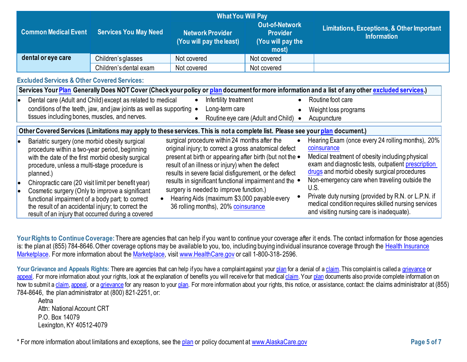|                       | <b>What You Will Pay</b>                                                                                                                                                                                                                                                                                                                                                                                                                                                                     |                                                                                                                               |                                                                                                                                                                                                                                                                                                                                                                                                                                                                                 |                                                                        |                                                                                                                                                                                                                                                                                                                                                                                                                                              |
|-----------------------|----------------------------------------------------------------------------------------------------------------------------------------------------------------------------------------------------------------------------------------------------------------------------------------------------------------------------------------------------------------------------------------------------------------------------------------------------------------------------------------------|-------------------------------------------------------------------------------------------------------------------------------|---------------------------------------------------------------------------------------------------------------------------------------------------------------------------------------------------------------------------------------------------------------------------------------------------------------------------------------------------------------------------------------------------------------------------------------------------------------------------------|------------------------------------------------------------------------|----------------------------------------------------------------------------------------------------------------------------------------------------------------------------------------------------------------------------------------------------------------------------------------------------------------------------------------------------------------------------------------------------------------------------------------------|
|                       | <b>Common Medical Event</b>                                                                                                                                                                                                                                                                                                                                                                                                                                                                  | <b>Services You May Need</b>                                                                                                  | <b>Network Provider</b><br>(You will pay the least)                                                                                                                                                                                                                                                                                                                                                                                                                             | <b>Out-of-Network</b><br><b>Provider</b><br>(You will pay the<br>most) | <b>Limitations, Exceptions, &amp; Other Important</b><br><b>Information</b>                                                                                                                                                                                                                                                                                                                                                                  |
|                       | dental or eye care                                                                                                                                                                                                                                                                                                                                                                                                                                                                           | Children's glasses                                                                                                            | Not covered                                                                                                                                                                                                                                                                                                                                                                                                                                                                     | Not covered                                                            |                                                                                                                                                                                                                                                                                                                                                                                                                                              |
|                       |                                                                                                                                                                                                                                                                                                                                                                                                                                                                                              | Children's dental exam                                                                                                        | Not covered                                                                                                                                                                                                                                                                                                                                                                                                                                                                     | Not covered                                                            |                                                                                                                                                                                                                                                                                                                                                                                                                                              |
|                       | <b>Excluded Services &amp; Other Covered Services:</b>                                                                                                                                                                                                                                                                                                                                                                                                                                       |                                                                                                                               |                                                                                                                                                                                                                                                                                                                                                                                                                                                                                 |                                                                        |                                                                                                                                                                                                                                                                                                                                                                                                                                              |
|                       |                                                                                                                                                                                                                                                                                                                                                                                                                                                                                              |                                                                                                                               |                                                                                                                                                                                                                                                                                                                                                                                                                                                                                 |                                                                        | Services Your Plan Generally Does NOT Cover (Check your policy or plan document for more information and a list of any other excluded services.)                                                                                                                                                                                                                                                                                             |
| le                    |                                                                                                                                                                                                                                                                                                                                                                                                                                                                                              | Dental care (Adult and Child) except as related to medical                                                                    | Infertility treatment                                                                                                                                                                                                                                                                                                                                                                                                                                                           |                                                                        | Routine foot care                                                                                                                                                                                                                                                                                                                                                                                                                            |
|                       |                                                                                                                                                                                                                                                                                                                                                                                                                                                                                              | conditions of the teeth, jaw, and jaw joints as well as supporting .                                                          | Long-term care                                                                                                                                                                                                                                                                                                                                                                                                                                                                  |                                                                        | Weight loss programs                                                                                                                                                                                                                                                                                                                                                                                                                         |
|                       | tissues including bones, muscles, and nerves.                                                                                                                                                                                                                                                                                                                                                                                                                                                |                                                                                                                               |                                                                                                                                                                                                                                                                                                                                                                                                                                                                                 | Routine eye care (Adult and Child) •                                   | Acupuncture                                                                                                                                                                                                                                                                                                                                                                                                                                  |
|                       |                                                                                                                                                                                                                                                                                                                                                                                                                                                                                              | Other Covered Services (Limitations may apply to these services. This is not a complete list. Please see your plan document.) |                                                                                                                                                                                                                                                                                                                                                                                                                                                                                 |                                                                        |                                                                                                                                                                                                                                                                                                                                                                                                                                              |
| $\bullet$<br>lo<br>lo | Bariatric surgery (one morbid obesity surgical<br>procedure within a two-year period, beginning<br>with the date of the first morbid obesity surgical<br>procedure, unless a multi-stage procedure is<br>planned.)<br>Chiropractic care (20 visit limit per benefit year)<br>Cosmetic surgery (Only to improve a significant<br>functional impairment of a body part; to correct<br>the result of an accidental injury; to correct the<br>result of an injury that occurred during a covered |                                                                                                                               | surgical procedure within 24 months after the<br>original injury; to correct a gross anatomical defect<br>present at birth or appearing after birth (but not the $\bullet$<br>result of an illness or injury) when the defect<br>results in severe facial disfigurement, or the defect<br>results in significant functional impairment and the<br>surgery is needed to improve function.)<br>Hearing Aids (maximum \$3,000 payable every<br>36 rolling months), 20% coinsurance | $\bullet$                                                              | Hearing Exam (once every 24 rolling months), 20%<br>coinsurance<br>Medical treatment of obesity including physical<br>exam and diagnostic tests, outpatient prescription<br>drugs and morbid obesity surgical procedures<br>Non-emergency care when traveling outside the<br>U.S.<br>Private duty nursing (provided by R.N. or L.P.N. if<br>medical condition requires skilled nursing services<br>and visiting nursing care is inadequate). |

Your Rights to Continue Coverage: There are agencies that can help if you want to continue your coverage after it ends. The contact information for those agencies is: the plan at (855) 784-8646. Other coverage options may be available to you, too, including buying individual insurance coverage through the [Health Insurance](https://www.healthcare.gov/sbc-glossary/#health-insurance) [Marketplace.](https://www.healthcare.gov/sbc-glossary/#marketplace) For more information about th[e Marketplace,](https://www.healthcare.gov/sbc-glossary/#marketplace) visit [www.HealthCare.gov](http://www.healthcare.gov/) or call 1-800-318-2596.

Your Grievance and Appeals Rights: There are agencies that can help if you have a complaint against you[r plan](https://www.healthcare.gov/sbc-glossary/#plan) for a denial of a [claim.](https://www.healthcare.gov/sbc-glossary/#claim) This complaint is called a [grievance](https://www.healthcare.gov/sbc-glossary/#grievance) or [appeal.](https://www.healthcare.gov/sbc-glossary/#appeal) For more information about your rights, look at the explanation of benefits you will receive for that medica[l claim.](https://www.healthcare.gov/sbc-glossary/#claim) Your [plan](https://www.healthcare.gov/sbc-glossary/#plan) documents also provide complete information on how to submit [a claim,](https://www.healthcare.gov/sbc-glossary/#claim) [appeal,](https://www.healthcare.gov/sbc-glossary/#appeal) or [a grievance](https://www.healthcare.gov/sbc-glossary/#grievance) for any reason to your [plan.](https://www.healthcare.gov/sbc-glossary/#plan) For more information about your rights, this notice, or assistance, contact: the claims administrator at (855) 784-8646, the plan administrator at (800) 821-2251, or:

Aetna Attn: National Account CRT P.O. Box 14079 [Lexington,](http://www.aetna.com/individuals-families-health-insurance/rights-resources/complaints-grievances-appeals/index.html) KY 40512-4079

\* For more information about limitations and exceptions, see the [plan](https://www.healthcare.gov/sbc-glossary/#plan) or policy document at [www.AlaskaCare.gov](http://www.alaskacare.gov/) **Page 5 of 7**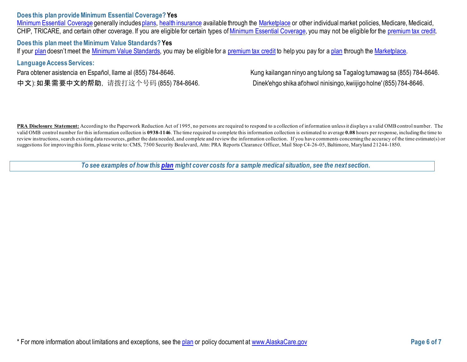## **Does this plan provide Minimum Essential Coverage? Yes**

[Minimum Essential Coverage](https://www.healthcare.gov/sbc-glossary/#minimum-essential-coverage) generally include[s plans,](https://www.healthcare.gov/sbc-glossary/#plan) [health insurance](https://www.healthcare.gov/sbc-glossary/#health-insurance) available through the [Marketplace](https://www.healthcare.gov/sbc-glossary/#marketplace) or other individual market policies, Medicare, Medicaid, CHIP, TRICARE, and certain other coverage. If you are eligible for certain types of [Minimum Essential Coverage,](https://www.healthcare.gov/sbc-glossary/#minimum-essential-coverage) you may not be eligible for the [premium tax credit.](https://www.healthcare.gov/sbc-glossary/#premium-tax-credits)

**Does this plan meet the Minimum Value Standards? Yes** If your [plan](https://www.healthcare.gov/sbc-glossary/#plan) doesn't meet the [Minimum Value Standards,](https://www.healthcare.gov/sbc-glossary/#minimum-value-standard) you may be eligible for a [premium tax credit](https://www.healthcare.gov/sbc-glossary/#premium-tax-credits) to help you pay for [a plan](https://www.healthcare.gov/sbc-glossary/#plan) through the [Marketplace.](https://www.healthcare.gov/sbc-glossary/#marketplace)

## **Language Access Services:**

Para obtener asistencia en Español, Ilame al (855) 784-8646. Kung kailangan ninyo ang tulong sa Tagalog tumawag sa (855) 784-8646. 中文): 如果需要中文的帮助, 请拨打这个号码 (855) 784-8646. Dinek'ehgo shika at'ohwol ninisingo, kwiijigo holne' (855) 784-8646.

PRA Disclosure Statement: According to the Paperwork Reduction Act of 1995, no persons are required to respond to a collection of information unless it displays a valid OMB control number. The valid OMB control number for this information collection is **0938-1146**. The time required to complete this information collection is estimated to average **0.08** hours per response, including the time to review instructions, search existing data resources, gather the data needed, and complete and review the information collection. If you have comments concerning the accuracy of the time estimate(s) or suggestions for improving this form, please write to: CMS, 7500 Security Boulevard, Attn: PRA Reports Clearance Officer, Mail Stop C4-26-05, Baltimore, Maryland 21244-1850.

*To see examples of how this [plan](https://www.healthcare.gov/sbc-glossary/#plan) might cover costs for a sample medical situation, see the next section.*